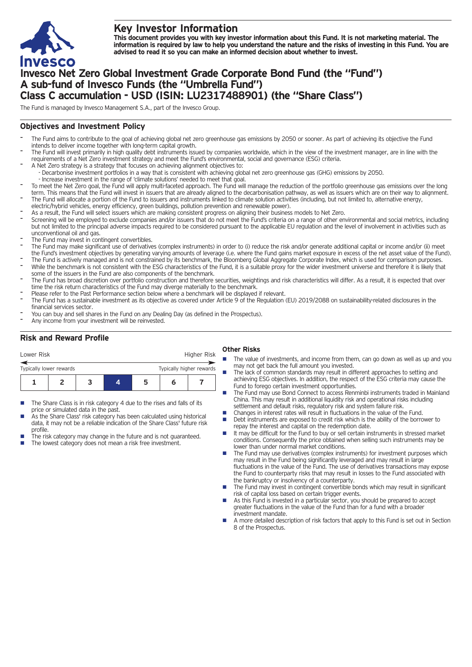

# **Key Investor Information**

This document provides you with key investor information about this Fund. It is not marketing material. The information is required by law to help you understand the nature and the risks of investing in this Fund. You are **advised to read it so you can make an informed decision about whether to invest.**

# **Invesco Net Zero Global Investment Grade Corporate Bond Fund (the "Fund") A sub-fund of Invesco Funds (the "Umbrella Fund") Class C accumulation - USD (ISIN: LU2317488901) (the "Share Class")**

The Fund is managed by Invesco Management S.A., part of the Invesco Group.

### **Objectives and Investment Policy**

- The Fund aims to contribute to the goal of achieving global net zero greenhouse gas emissions by 2050 or sooner. As part of achieving its objective the Fund intends to deliver income together with long-term capital growth.
- The Fund will invest primarily in high quality debt instruments issued by companies worldwide, which in the view of the investment manager, are in line with the requirements of a Net Zero investment strategy and meet the Fund's environmental, social and governance (ESG) criteria.
- A Net Zero strategy is a strategy that focuses on achieving alignment objectives to: - Decarbonise investment portfolios in a way that is consistent with achieving global net zero greenhouse gas (GHG) emissions by 2050.
- Increase investment in the range of 'climate solutions' needed to meet that goal.
- To meet the Net Zero goal, the Fund will apply multi-faceted approach. The Fund will manage the reduction of the portfolio greenhouse gas emissions over the long term. This means that the Fund will invest in issuers that are already aligned to the decarbonisation pathway, as well as issuers which are on their way to alignment. The Fund will allocate a portion of the Fund to issuers and instruments linked to climate solution activities (including, but not limited to, alternative energy,
- electric/hybrid vehicles, energy efficiency, green buildings, pollution prevention and renewable power).
- As a result, the Fund will select issuers which are making consistent progress on aligning their business models to Net Zero.
- Screening will be employed to exclude companies and/or issuers that do not meet the Fund's criteria on a range of other environmental and social metrics, including but not limited to the principal adverse impacts required to be considered pursuant to the applicable EU regulation and the level of involvement in activities such as unconventional oil and gas.
- The Fund may invest in contingent convertibles.
- The Fund may make significant use of derivatives (complex instruments) in order to (i) reduce the risk and/or generate additional capital or income and/or (ii) meet the Fund's investment objectives by generating varying amounts of leverage (i.e. where the Fund gains market exposure in excess of the net asset value of the Fund).
- The Fund is actively managed and is not constrained by its benchmark, the Bloomberg Global Aggregate Corporate Index, which is used for comparison purposes. While the benchmark is not consistent with the ESG characteristics of the Fund, it is a suitable proxy for the wider investment universe and therefore it is likely that some of the issuers in the Fund are also components of the benchmark.
- The Fund has broad discretion over portfolio construction and therefore securities, weightings and risk characteristics will differ. As a result, it is expected that over time the risk return characteristics of the Fund may diverge materially to the benchmark.
- Please refer to the Past Performance section below where a benchmark will be displayed if relevant.
- The Fund has a sustainable investment as its objective as covered under Article 9 of the Regulation (EU) 2019/2088 on sustainability-related disclosures in the financial services sector.
- You can buy and sell shares in the Fund on any Dealing Day (as defined in the Prospectus).
- Any income from your investment will be reinvested.

## **Risk and Reward Profile**

| Lower Risk                                          |  |  |  |   | Higher Risk |  |
|-----------------------------------------------------|--|--|--|---|-------------|--|
| Typically higher rewards<br>Typically lower rewards |  |  |  |   |             |  |
|                                                     |  |  |  | ∽ |             |  |

- The Share Class is in risk category 4 due to the rises and falls of its price or simulated data in the past.
- As the Share Class' risk category has been calculated using historical data, it may not be a reliable indication of the Share Class' future risk profile.
- The risk category may change in the future and is not guaranteed. The lowest category does not mean a risk free investment.

#### **Other Risks**

- The value of investments, and income from them, can go down as well as up and you may not get back the full amount you invested.
- The lack of common standards may result in different approaches to setting and achieving ESG objectives. In addition, the respect of the ESG criteria may cause the Fund to forego certain investment opportunities.
- The Fund may use Bond Connect to access Renminbi instruments traded in Mainland China. This may result in additional liquidity risk and operational risks including settlement and default risks, regulatory risk and system failure risk.
- Changes in interest rates will result in fluctuations in the value of the Fund.<br>■ Debt instruments are exposed to credit risk which is the ability of the borre
- Debt instruments are exposed to credit risk which is the ability of the borrower to repay the interest and capital on the redemption date.
- $\blacksquare$  It may be difficult for the Fund to buy or sell certain instruments in stressed market conditions. Consequently the price obtained when selling such instruments may be lower than under normal market conditions.
- The Fund may use derivatives (complex instruments) for investment purposes which may result in the Fund being significantly leveraged and may result in large fluctuations in the value of the Fund. The use of derivatives transactions may expose the Fund to counterparty risks that may result in losses to the Fund associated with the bankruptcy or insolvency of a counterparty.
- The Fund may invest in contingent convertible bonds which may result in significant risk of capital loss based on certain trigger events.
- n As this Fund is invested in a particular sector, you should be prepared to accept greater fluctuations in the value of the Fund than for a fund with a broader investment mandate.
- n A more detailed description of risk factors that apply to this Fund is set out in Section 8 of the Prospectus.